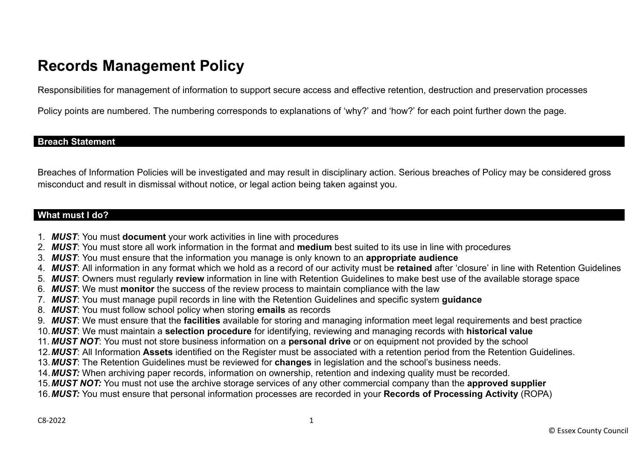# **Records Management Policy**

Responsibilities for management of information to support secure access and effective retention, destruction and preservation processes

Policy points are numbered. The numbering corresponds to explanations of 'why?' and 'how?' for each point further down the page.

### **Breach Statement**

Breaches of Information Policies will be investigated and may result in disciplinary action. Serious breaches of Policy may be considered gross misconduct and result in dismissal without notice, or legal action being taken against you.

### **What must I do?**

- 1. *MUST*: You must **document** your work activities in line with procedures
- 2. *MUST*: You must store all work information in the format and **medium** best suited to its use in line with procedures
- 3. *MUST*: You must ensure that the information you manage is only known to an **appropriate audience**
- 4. *MUST*: All information in any format which we hold as a record of our activity must be **retained** after 'closure' in line with Retention Guidelines
- 5. *MUST*: Owners must regularly **review** information in line with Retention Guidelines to make best use of the available storage space
- 6. *MUST*: We must **monitor** the success of the review process to maintain compliance with the law
- 7. *MUST*: You must manage pupil records in line with the Retention Guidelines and specific system **guidance**
- 8. *MUST*: You must follow school policy when storing **emails** as records
- 9. *MUST*: We must ensure that the **facilities** available for storing and managing information meet legal requirements and best practice
- 10.*MUST*: We must maintain a **selection procedure** for identifying, reviewing and managing records with **historical value**
- 11. *MUST NOT*: You must not store business information on a **personal drive** or on equipment not provided by the school
- 12.*MUST*: All Information **Assets** identified on the Register must be associated with a retention period from the Retention Guidelines.
- 13.*MUST*: The Retention Guidelines must be reviewed for **changes** in legislation and the school's business needs.
- 14.*MUST:* When archiving paper records, information on ownership, retention and indexing quality must be recorded.
- 15.*MUST NOT:* You must not use the archive storage services of any other commercial company than the **approved supplier**
- 16.*MUST:* You must ensure that personal information processes are recorded in your **Records of Processing Activity** (ROPA)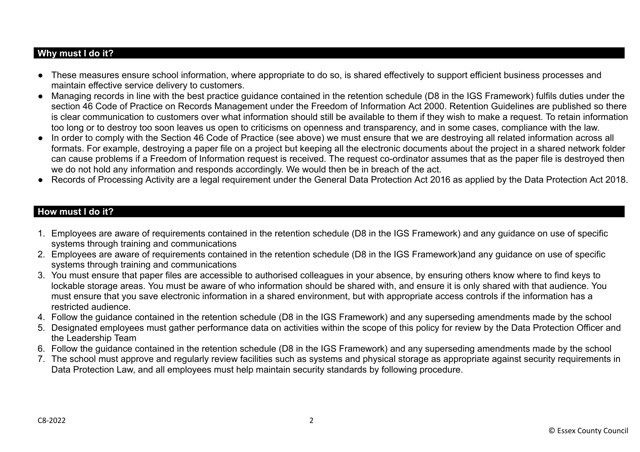## **Why must I do it?**

- These measures ensure school information, where appropriate to do so, is shared effectively to support efficient business processes and maintain effective service delivery to customers.
- Managing records in line with the best practice guidance contained in the retention schedule (D8 in the IGS Framework) fulfils duties under the section 46 Code of Practice on Records Management under the Freedom of Information Act 2000. Retention Guidelines are published so there is clear communication to customers over what information should still be available to them if they wish to make a request. To retain information too long or to destroy too soon leaves us open to criticisms on openness and transparency, and in some cases, compliance with the law.
- In order to comply with the Section 46 Code of Practice (see above) we must ensure that we are destroying all related information across all formats. For example, destroying a paper file on a project but keeping all the electronic documents about the project in a shared network folder can cause problems if a Freedom of Information request is received. The request co-ordinator assumes that as the paper file is destroyed then we do not hold any information and responds accordingly. We would then be in breach of the act.
- Records of Processing Activity are a legal requirement under the General Data Protection Act 2016 as applied by the Data Protection Act 2018.

## **How must I do it?**

- 1. Employees are aware of requirements contained in the retention schedule (D8 in the IGS Framework) and any guidance on use of specific systems through training and communications
- 2. Employees are aware of requirements contained in the retention schedule (D8 in the IGS Framework)and any guidance on use of specific systems through training and communications
- 3. You must ensure that paper files are accessible to authorised colleagues in your absence, by ensuring others know where to find keys to lockable storage areas. You must be aware of who information should be shared with, and ensure it is only shared with that audience. You must ensure that you save electronic information in a shared environment, but with appropriate access controls if the information has a restricted audience.
- 4. Follow the guidance contained in the retention schedule (D8 in the IGS Framework) and any superseding amendments made by the school
- 5. Designated employees must gather performance data on activities within the scope of this policy for review by the Data Protection Officer and the Leadership Team
- 6. Follow the guidance contained in the retention schedule (D8 in the IGS Framework) and any superseding amendments made by the school
- 7. The school must approve and regularly review facilities such as systems and physical storage as appropriate against security requirements in Data Protection Law, and all employees must help maintain security standards by following procedure.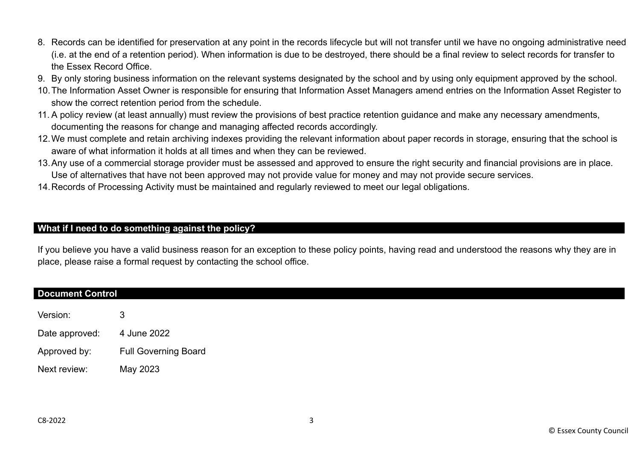- 8. Records can be identified for preservation at any point in the records lifecycle but will not transfer until we have no ongoing administrative need (i.e. at the end of a retention period). When information is due to be destroyed, there should be a final review to select records for transfer to the Essex Record Office.
- 9. By only storing business information on the relevant systems designated by the school and by using only equipment approved by the school.
- 10.The Information Asset Owner is responsible for ensuring that Information Asset Managers amend entries on the Information Asset Register to show the correct retention period from the schedule.
- 11. A policy review (at least annually) must review the provisions of best practice retention guidance and make any necessary amendments, documenting the reasons for change and managing affected records accordingly.
- 12.We must complete and retain archiving indexes providing the relevant information about paper records in storage, ensuring that the school is aware of what information it holds at all times and when they can be reviewed.
- 13.Any use of a commercial storage provider must be assessed and approved to ensure the right security and financial provisions are in place. Use of alternatives that have not been approved may not provide value for money and may not provide secure services.
- 14.Records of Processing Activity must be maintained and regularly reviewed to meet our legal obligations.

## **What if I need to do something against the policy?**

If you believe you have a valid business reason for an exception to these policy points, having read and understood the reasons why they are in place, please raise a formal request by contacting the school office.

#### **Document Control**

Version: 3 Date approved: 4 June 2022 Approved by: Full Governing Board Next review: May 2023